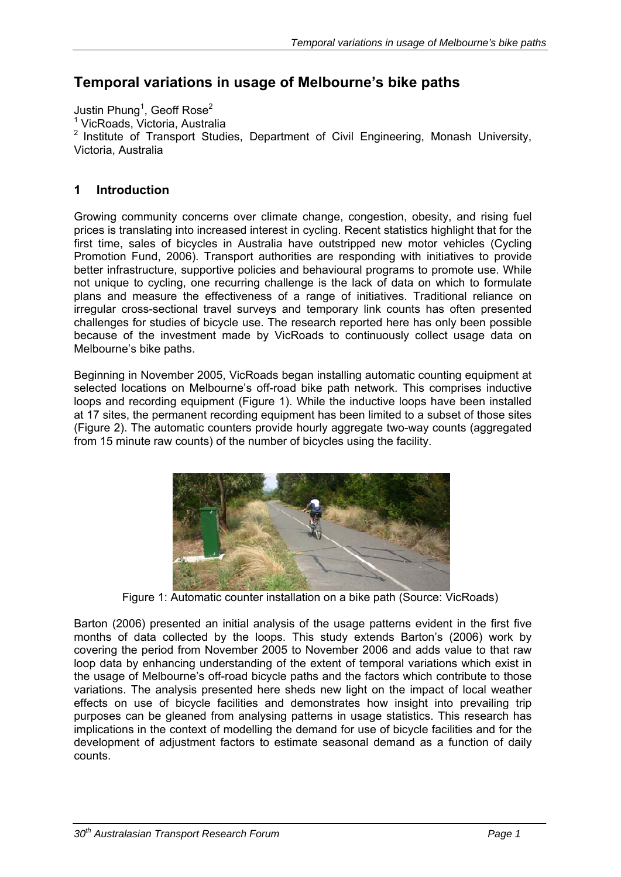# **Temporal variations in usage of Melbourne's bike paths**

Justin Phung<sup>1</sup>, Geoff Rose<sup>2</sup><br><sup>1</sup> VicPoads, Victoria, Austral VicRoads, Victoria, Australia  $2$  Institute of Transport Studies, Department of Civil Engineering, Monash University, Victoria, Australia

# **1 Introduction**

Growing community concerns over climate change, congestion, obesity, and rising fuel prices is translating into increased interest in cycling. Recent statistics highlight that for the first time, sales of bicycles in Australia have outstripped new motor vehicles (Cycling Promotion Fund, 2006). Transport authorities are responding with initiatives to provide better infrastructure, supportive policies and behavioural programs to promote use. While not unique to cycling, one recurring challenge is the lack of data on which to formulate plans and measure the effectiveness of a range of initiatives. Traditional reliance on irregular cross-sectional travel surveys and temporary link counts has often presented challenges for studies of bicycle use. The research reported here has only been possible because of the investment made by VicRoads to continuously collect usage data on Melbourne's bike paths.

Beginning in November 2005, VicRoads began installing automatic counting equipment at selected locations on Melbourne's off-road bike path network. This comprises inductive loops and recording equipment (Figure 1). While the inductive loops have been installed at 17 sites, the permanent recording equipment has been limited to a subset of those sites (Figure 2). The automatic counters provide hourly aggregate two-way counts (aggregated from 15 minute raw counts) of the number of bicycles using the facility.



Figure 1: Automatic counter installation on a bike path (Source: VicRoads)

Barton (2006) presented an initial analysis of the usage patterns evident in the first five months of data collected by the loops. This study extends Barton's (2006) work by covering the period from November 2005 to November 2006 and adds value to that raw loop data by enhancing understanding of the extent of temporal variations which exist in the usage of Melbourne's off-road bicycle paths and the factors which contribute to those variations. The analysis presented here sheds new light on the impact of local weather effects on use of bicycle facilities and demonstrates how insight into prevailing trip purposes can be gleaned from analysing patterns in usage statistics. This research has implications in the context of modelling the demand for use of bicycle facilities and for the development of adjustment factors to estimate seasonal demand as a function of daily counts.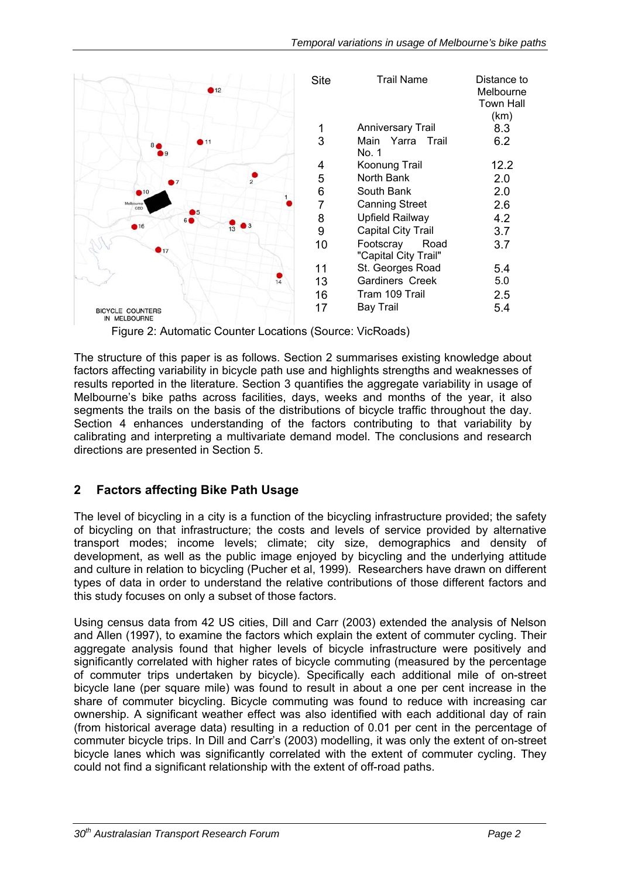

Figure 2: Automatic Counter Locations (Source: VicRoads)

The structure of this paper is as follows. Section 2 summarises existing knowledge about factors affecting variability in bicycle path use and highlights strengths and weaknesses of results reported in the literature. Section 3 quantifies the aggregate variability in usage of Melbourne's bike paths across facilities, days, weeks and months of the year, it also segments the trails on the basis of the distributions of bicycle traffic throughout the day. Section 4 enhances understanding of the factors contributing to that variability by calibrating and interpreting a multivariate demand model. The conclusions and research directions are presented in Section 5.

# **2 Factors affecting Bike Path Usage**

The level of bicycling in a city is a function of the bicycling infrastructure provided; the safety of bicycling on that infrastructure; the costs and levels of service provided by alternative transport modes; income levels; climate; city size, demographics and density of development, as well as the public image enjoyed by bicycling and the underlying attitude and culture in relation to bicycling (Pucher et al, 1999). Researchers have drawn on different types of data in order to understand the relative contributions of those different factors and this study focuses on only a subset of those factors.

Using census data from 42 US cities, Dill and Carr (2003) extended the analysis of Nelson and Allen (1997), to examine the factors which explain the extent of commuter cycling. Their aggregate analysis found that higher levels of bicycle infrastructure were positively and significantly correlated with higher rates of bicycle commuting (measured by the percentage of commuter trips undertaken by bicycle). Specifically each additional mile of on-street bicycle lane (per square mile) was found to result in about a one per cent increase in the share of commuter bicycling. Bicycle commuting was found to reduce with increasing car ownership. A significant weather effect was also identified with each additional day of rain (from historical average data) resulting in a reduction of 0.01 per cent in the percentage of commuter bicycle trips. In Dill and Carr's (2003) modelling, it was only the extent of on-street bicycle lanes which was significantly correlated with the extent of commuter cycling. They could not find a significant relationship with the extent of off-road paths.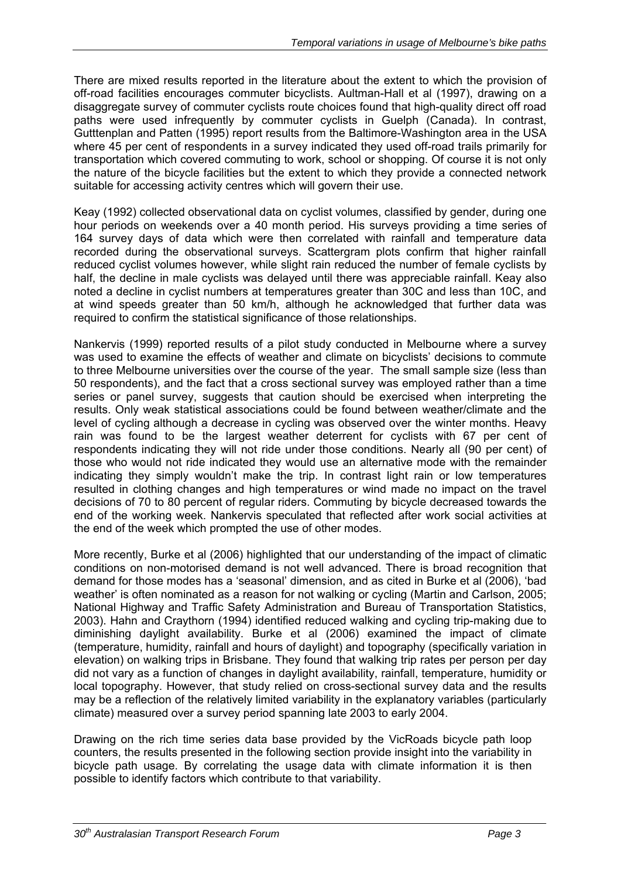There are mixed results reported in the literature about the extent to which the provision of off-road facilities encourages commuter bicyclists. Aultman-Hall et al (1997), drawing on a disaggregate survey of commuter cyclists route choices found that high-quality direct off road paths were used infrequently by commuter cyclists in Guelph (Canada). In contrast, Gutttenplan and Patten (1995) report results from the Baltimore-Washington area in the USA where 45 per cent of respondents in a survey indicated they used off-road trails primarily for transportation which covered commuting to work, school or shopping. Of course it is not only the nature of the bicycle facilities but the extent to which they provide a connected network suitable for accessing activity centres which will govern their use.

Keay (1992) collected observational data on cyclist volumes, classified by gender, during one hour periods on weekends over a 40 month period. His surveys providing a time series of 164 survey days of data which were then correlated with rainfall and temperature data recorded during the observational surveys. Scattergram plots confirm that higher rainfall reduced cyclist volumes however, while slight rain reduced the number of female cyclists by half, the decline in male cyclists was delayed until there was appreciable rainfall. Keay also noted a decline in cyclist numbers at temperatures greater than 30C and less than 10C, and at wind speeds greater than 50 km/h, although he acknowledged that further data was required to confirm the statistical significance of those relationships.

Nankervis (1999) reported results of a pilot study conducted in Melbourne where a survey was used to examine the effects of weather and climate on bicyclists' decisions to commute to three Melbourne universities over the course of the year. The small sample size (less than 50 respondents), and the fact that a cross sectional survey was employed rather than a time series or panel survey, suggests that caution should be exercised when interpreting the results. Only weak statistical associations could be found between weather/climate and the level of cycling although a decrease in cycling was observed over the winter months. Heavy rain was found to be the largest weather deterrent for cyclists with 67 per cent of respondents indicating they will not ride under those conditions. Nearly all (90 per cent) of those who would not ride indicated they would use an alternative mode with the remainder indicating they simply wouldn't make the trip. In contrast light rain or low temperatures resulted in clothing changes and high temperatures or wind made no impact on the travel decisions of 70 to 80 percent of regular riders. Commuting by bicycle decreased towards the end of the working week. Nankervis speculated that reflected after work social activities at the end of the week which prompted the use of other modes.

More recently, Burke et al (2006) highlighted that our understanding of the impact of climatic conditions on non-motorised demand is not well advanced. There is broad recognition that demand for those modes has a 'seasonal' dimension, and as cited in Burke et al (2006), 'bad weather' is often nominated as a reason for not walking or cycling (Martin and Carlson, 2005; National Highway and Traffic Safety Administration and Bureau of Transportation Statistics, 2003). Hahn and Craythorn (1994) identified reduced walking and cycling trip-making due to diminishing daylight availability. Burke et al (2006) examined the impact of climate (temperature, humidity, rainfall and hours of daylight) and topography (specifically variation in elevation) on walking trips in Brisbane. They found that walking trip rates per person per day did not vary as a function of changes in daylight availability, rainfall, temperature, humidity or local topography. However, that study relied on cross-sectional survey data and the results may be a reflection of the relatively limited variability in the explanatory variables (particularly climate) measured over a survey period spanning late 2003 to early 2004.

Drawing on the rich time series data base provided by the VicRoads bicycle path loop counters, the results presented in the following section provide insight into the variability in bicycle path usage. By correlating the usage data with climate information it is then possible to identify factors which contribute to that variability.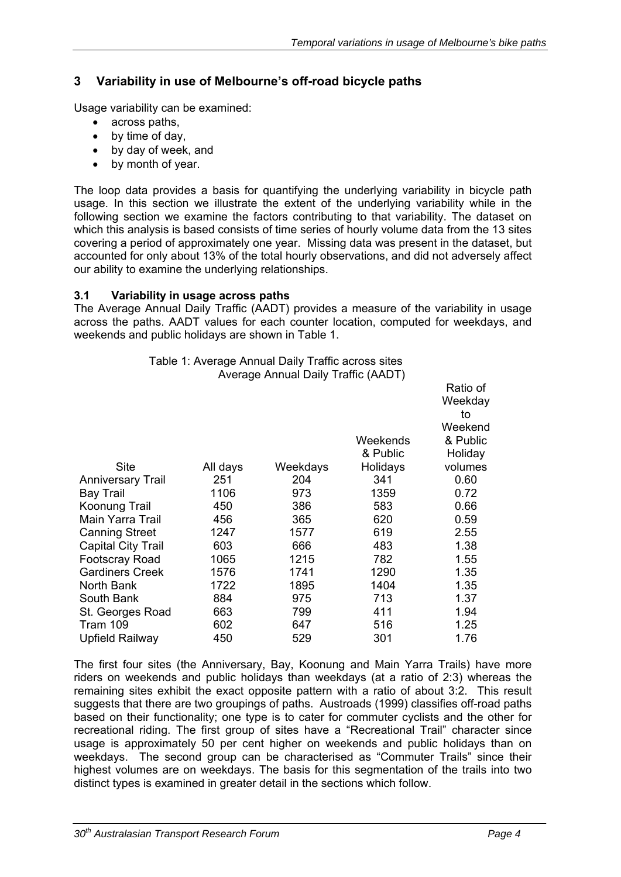# **3 Variability in use of Melbourne's off-road bicycle paths**

Usage variability can be examined:

- across paths,
- by time of day,
- by day of week, and
- by month of year.

The loop data provides a basis for quantifying the underlying variability in bicycle path usage. In this section we illustrate the extent of the underlying variability while in the following section we examine the factors contributing to that variability. The dataset on which this analysis is based consists of time series of hourly volume data from the 13 sites covering a period of approximately one year. Missing data was present in the dataset, but accounted for only about 13% of the total hourly observations, and did not adversely affect our ability to examine the underlying relationships.

#### **3.1 Variability in usage across paths**

The Average Annual Daily Traffic (AADT) provides a measure of the variability in usage across the paths. AADT values for each counter location, computed for weekdays, and weekends and public holidays are shown in Table 1.

> Table 1: Average Annual Daily Traffic across sites Average Annual Daily Traffic (AADT)

|                           |          |          |          | Ratio of |
|---------------------------|----------|----------|----------|----------|
|                           |          |          |          | Weekday  |
|                           |          |          |          | to       |
|                           |          |          |          | Weekend  |
|                           |          |          | Weekends | & Public |
|                           |          |          | & Public | Holiday  |
| Site                      | All days | Weekdays | Holidays | volumes  |
| <b>Anniversary Trail</b>  | 251      | 204      | 341      | 0.60     |
| <b>Bay Trail</b>          | 1106     | 973      | 1359     | 0.72     |
| Koonung Trail             | 450      | 386      | 583      | 0.66     |
| Main Yarra Trail          | 456      | 365      | 620      | 0.59     |
| <b>Canning Street</b>     | 1247     | 1577     | 619      | 2.55     |
| <b>Capital City Trail</b> | 603      | 666      | 483      | 1.38     |
| <b>Footscray Road</b>     | 1065     | 1215     | 782      | 1.55     |
| <b>Gardiners Creek</b>    | 1576     | 1741     | 1290     | 1.35     |
| North Bank                | 1722     | 1895     | 1404     | 1.35     |
| South Bank                | 884      | 975      | 713      | 1.37     |
| St. Georges Road          | 663      | 799      | 411      | 1.94     |
| Tram 109                  | 602      | 647      | 516      | 1.25     |
| <b>Upfield Railway</b>    | 450      | 529      | 301      | 1.76     |

The first four sites (the Anniversary, Bay, Koonung and Main Yarra Trails) have more riders on weekends and public holidays than weekdays (at a ratio of 2:3) whereas the remaining sites exhibit the exact opposite pattern with a ratio of about 3:2. This result suggests that there are two groupings of paths. Austroads (1999) classifies off-road paths based on their functionality; one type is to cater for commuter cyclists and the other for recreational riding. The first group of sites have a "Recreational Trail" character since usage is approximately 50 per cent higher on weekends and public holidays than on weekdays. The second group can be characterised as "Commuter Trails" since their highest volumes are on weekdays. The basis for this segmentation of the trails into two distinct types is examined in greater detail in the sections which follow.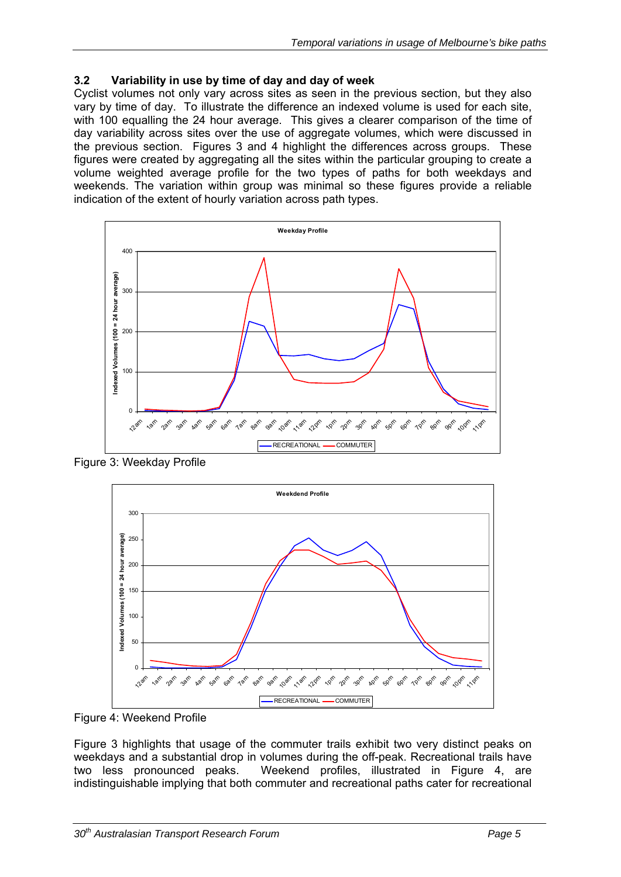### **3.2 Variability in use by time of day and day of week**

Cyclist volumes not only vary across sites as seen in the previous section, but they also vary by time of day. To illustrate the difference an indexed volume is used for each site, with 100 equalling the 24 hour average. This gives a clearer comparison of the time of day variability across sites over the use of aggregate volumes, which were discussed in the previous section. Figures 3 and 4 highlight the differences across groups. These figures were created by aggregating all the sites within the particular grouping to create a volume weighted average profile for the two types of paths for both weekdays and weekends. The variation within group was minimal so these figures provide a reliable indication of the extent of hourly variation across path types.



Figure 3: Weekday Profile



Figure 4: Weekend Profile

Figure 3 highlights that usage of the commuter trails exhibit two very distinct peaks on weekdays and a substantial drop in volumes during the off-peak. Recreational trails have two less pronounced peaks. Weekend profiles, illustrated in Figure 4, are indistinguishable implying that both commuter and recreational paths cater for recreational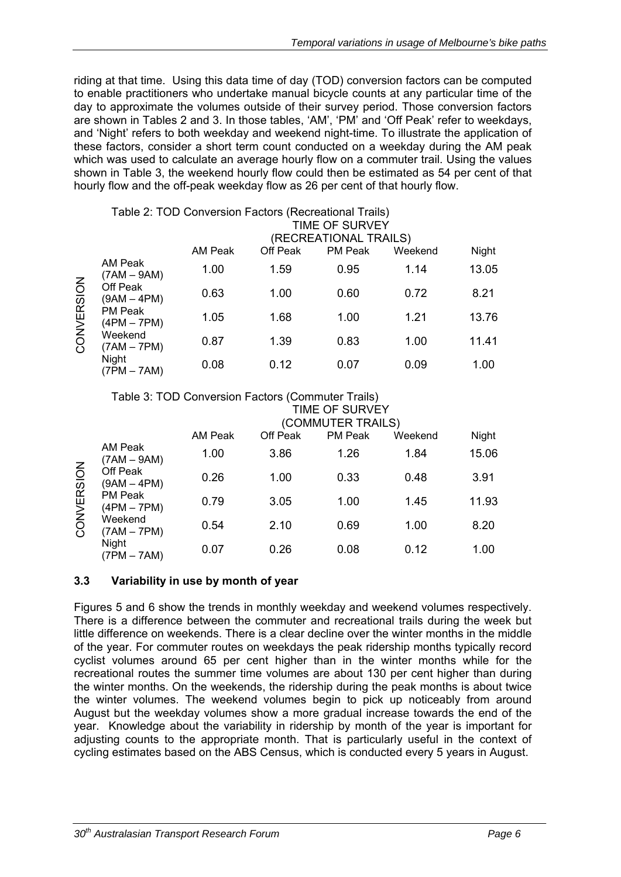riding at that time. Using this data time of day (TOD) conversion factors can be computed to enable practitioners who undertake manual bicycle counts at any particular time of the day to approximate the volumes outside of their survey period. Those conversion factors are shown in Tables 2 and 3. In those tables, 'AM', 'PM' and 'Off Peak' refer to weekdays, and 'Night' refers to both weekday and weekend night-time. To illustrate the application of these factors, consider a short term count conducted on a weekday during the AM peak which was used to calculate an average hourly flow on a commuter trail. Using the values shown in Table 3, the weekend hourly flow could then be estimated as 54 per cent of that hourly flow and the off-peak weekday flow as 26 per cent of that hourly flow.

|                                                                  |               | Table 2: TOD Conversion Factors (Recreational Trails) |          |                       |         |       |
|------------------------------------------------------------------|---------------|-------------------------------------------------------|----------|-----------------------|---------|-------|
|                                                                  |               |                                                       |          | TIME OF SURVEY        |         |       |
|                                                                  |               |                                                       |          | (RECREATIONAL TRAILS) |         |       |
|                                                                  |               | <b>AM Peak</b>                                        | Off Peak | <b>PM Peak</b>        | Weekend | Night |
| AM Peak<br>CONVERSION<br>Off Peak<br>PM Peak<br>Weekend<br>Night | $(7AM - 9AM)$ | 1.00                                                  | 1.59     | 0.95                  | 1.14    | 13.05 |
|                                                                  | $(9AM - 4PM)$ | 0.63                                                  | 1.00     | 0.60                  | 0.72    | 8.21  |
|                                                                  | $(4PM - 7PM)$ | 1.05                                                  | 1.68     | 1.00                  | 1.21    | 13.76 |
|                                                                  | $(7AM - 7PM)$ | 0.87                                                  | 1.39     | 0.83                  | 1.00    | 11.41 |
|                                                                  | $(7PM - 7AM)$ | 0.08                                                  | 0.12     | 0.07                  | 0.09    | 1.00  |

### Table 3: TOD Conversion Factors (Commuter Trails)

|            |                           |                   |          | TIME OF SURVEY |         |       |  |  |  |  |  |
|------------|---------------------------|-------------------|----------|----------------|---------|-------|--|--|--|--|--|
|            |                           | (COMMUTER TRAILS) |          |                |         |       |  |  |  |  |  |
|            |                           | <b>AM Peak</b>    | Off Peak | PM Peak        | Weekend | Night |  |  |  |  |  |
| CONVERSION | AM Peak<br>$(7AM - 9AM)$  | 1.00              | 3.86     | 1.26           | 1.84    | 15.06 |  |  |  |  |  |
|            | Off Peak<br>$(9AM - 4PM)$ | 0.26              | 1.00     | 0.33           | 0.48    | 3.91  |  |  |  |  |  |
|            | PM Peak<br>$(4PM - 7PM)$  | 0.79              | 3.05     | 1.00           | 1.45    | 11.93 |  |  |  |  |  |
|            | Weekend<br>$(7AM - 7PM)$  | 0.54              | 2.10     | 0.69           | 1.00    | 8.20  |  |  |  |  |  |
|            | Night<br>$(7PM - 7AM)$    | 0.07              | 0.26     | 0.08           | 0.12    | 1.00  |  |  |  |  |  |

### **3.3 Variability in use by month of year**

Figures 5 and 6 show the trends in monthly weekday and weekend volumes respectively. There is a difference between the commuter and recreational trails during the week but little difference on weekends. There is a clear decline over the winter months in the middle of the year. For commuter routes on weekdays the peak ridership months typically record cyclist volumes around 65 per cent higher than in the winter months while for the recreational routes the summer time volumes are about 130 per cent higher than during the winter months. On the weekends, the ridership during the peak months is about twice the winter volumes. The weekend volumes begin to pick up noticeably from around August but the weekday volumes show a more gradual increase towards the end of the year. Knowledge about the variability in ridership by month of the year is important for adjusting counts to the appropriate month. That is particularly useful in the context of cycling estimates based on the ABS Census, which is conducted every 5 years in August.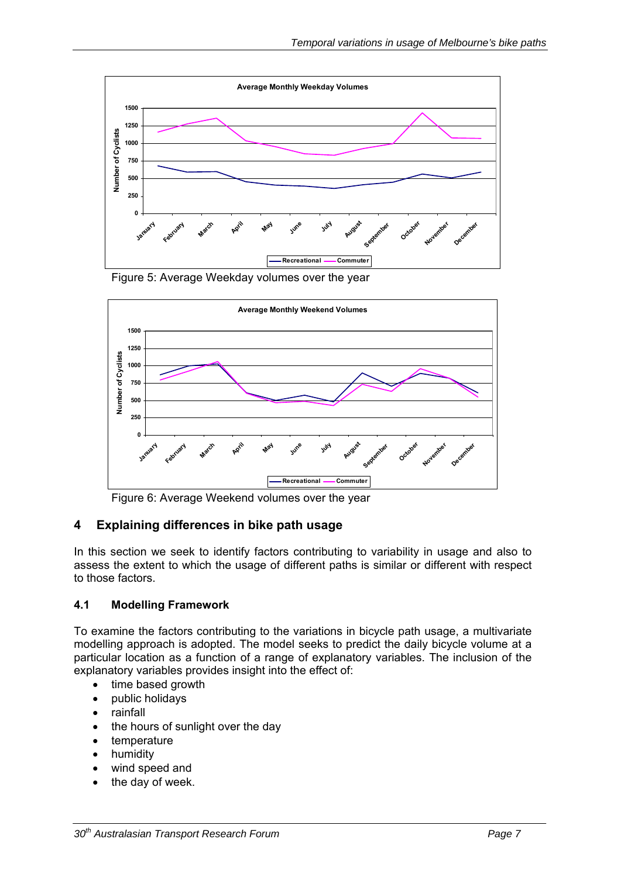

Figure 5: Average Weekday volumes over the year



Figure 6: Average Weekend volumes over the year

# **4 Explaining differences in bike path usage**

In this section we seek to identify factors contributing to variability in usage and also to assess the extent to which the usage of different paths is similar or different with respect to those factors.

### **4.1 Modelling Framework**

To examine the factors contributing to the variations in bicycle path usage, a multivariate modelling approach is adopted. The model seeks to predict the daily bicycle volume at a particular location as a function of a range of explanatory variables. The inclusion of the explanatory variables provides insight into the effect of:

- time based growth
- public holidays
- rainfall
- the hours of sunlight over the day
- temperature
- humidity
- wind speed and
- the day of week.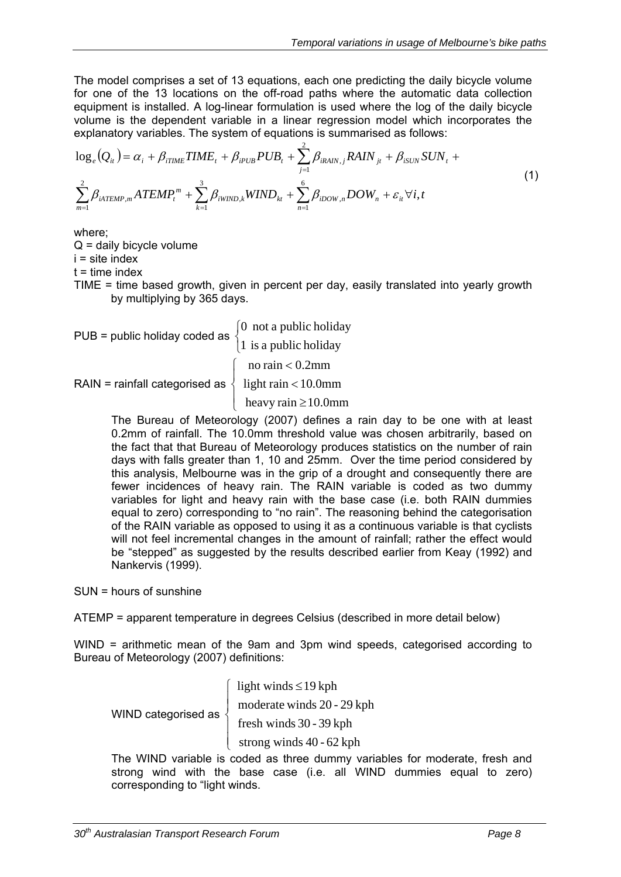The model comprises a set of 13 equations, each one predicting the daily bicycle volume for one of the 13 locations on the off-road paths where the automatic data collection equipment is installed. A log-linear formulation is used where the log of the daily bicycle volume is the dependent variable in a linear regression model which incorporates the explanatory variables. The system of equations is summarised as follows:

$$
\log_e(Q_{it}) = \alpha_i + \beta_{iTIME} TIME_t + \beta_{iPUB} PUB_t + \sum_{j=1}^2 \beta_{iRAIN,j} RAIN_{jt} + \beta_{iSUN} SUN_t + \sum_{m=1}^2 \beta_{iATEMP,m} ATEMP_t^m + \sum_{k=1}^3 \beta_{iWIND,k} WIND_{kt} + \sum_{n=1}^6 \beta_{iDOW,n} DOW_n + \varepsilon_{it} \forall i, t
$$
\n(1)

where;

 $Q =$  daily bicycle volume

 $i =$  site index

 $t = time$  index

TIME = time based growth, given in percent per day, easily translated into yearly growth by multiplying by 365 days.

| PUB = public holiday coded as $\begin{cases} 0 & \text{not a public holiday} \\ 1 & \text{is a public holiday} \end{cases}$ |                           |  |  |  |  |
|-----------------------------------------------------------------------------------------------------------------------------|---------------------------|--|--|--|--|
|                                                                                                                             | no rain $< 0.2$ mm        |  |  |  |  |
| RAIN = rainfall categorised as $\begin{cases} \text{light rain} < 10.0 \text{mm} \end{cases}$                               |                           |  |  |  |  |
|                                                                                                                             | heavy rain $\geq 10.0$ mm |  |  |  |  |

The Bureau of Meteorology (2007) defines a rain day to be one with at least 0.2mm of rainfall. The 10.0mm threshold value was chosen arbitrarily, based on the fact that that Bureau of Meteorology produces statistics on the number of rain days with falls greater than 1, 10 and 25mm. Over the time period considered by this analysis, Melbourne was in the grip of a drought and consequently there are fewer incidences of heavy rain. The RAIN variable is coded as two dummy variables for light and heavy rain with the base case (i.e. both RAIN dummies equal to zero) corresponding to "no rain". The reasoning behind the categorisation of the RAIN variable as opposed to using it as a continuous variable is that cyclists will not feel incremental changes in the amount of rainfall; rather the effect would be "stepped" as suggested by the results described earlier from Keay (1992) and Nankervis (1999).

SUN = hours of sunshine

ATEMP = apparent temperature in degrees Celsius (described in more detail below)

WIND = arithmetic mean of the 9am and 3pm wind speeds, categorised according to Bureau of Meteorology (2007) definitions:

 WIND categorised as ⎪ ⎩ strong winds 40 - 62 kph  $\frac{1}{2}$  $\overline{\phantom{a}}$  $\int$  fresh winds 30 - 39 kph  $\int$  light winds ≤19 kph moderate winds 20 - 29 kph

The WIND variable is coded as three dummy variables for moderate, fresh and strong wind with the base case (i.e. all WIND dummies equal to zero) corresponding to "light winds.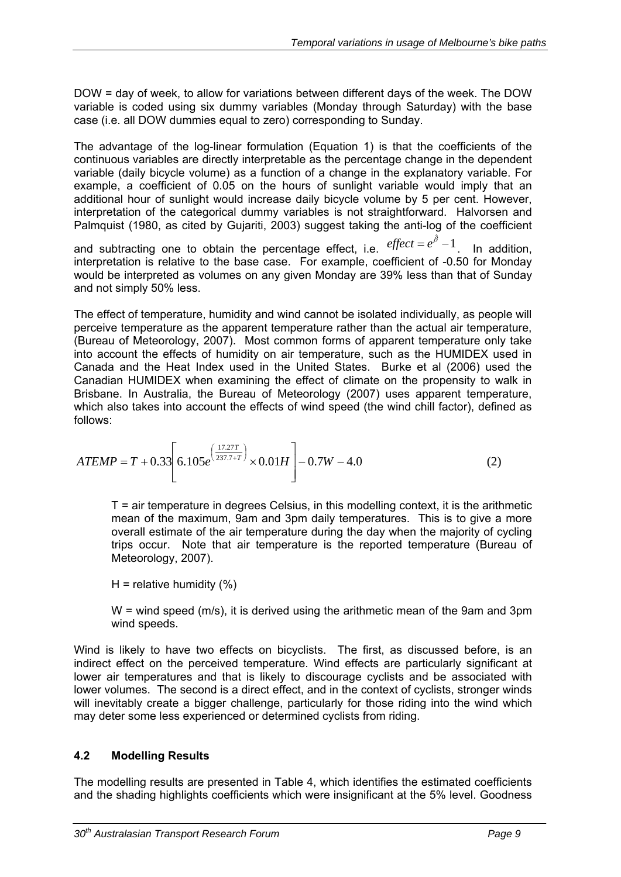DOW = day of week, to allow for variations between different days of the week. The DOW variable is coded using six dummy variables (Monday through Saturday) with the base case (i.e. all DOW dummies equal to zero) corresponding to Sunday.

The advantage of the log-linear formulation (Equation 1) is that the coefficients of the continuous variables are directly interpretable as the percentage change in the dependent variable (daily bicycle volume) as a function of a change in the explanatory variable. For example, a coefficient of 0.05 on the hours of sunlight variable would imply that an additional hour of sunlight would increase daily bicycle volume by 5 per cent. However, interpretation of the categorical dummy variables is not straightforward. Halvorsen and Palmquist (1980, as cited by Gujariti, 2003) suggest taking the anti-log of the coefficient

and subtracting one to obtain the percentage effect, i.e.  $\epsilon$ effect  $=e^{\hat{\beta}}-1$ . In addition, interpretation is relative to the base case. For example, coefficient of -0.50 for Monday would be interpreted as volumes on any given Monday are 39% less than that of Sunday and not simply 50% less.

The effect of temperature, humidity and wind cannot be isolated individually, as people will perceive temperature as the apparent temperature rather than the actual air temperature, (Bureau of Meteorology, 2007). Most common forms of apparent temperature only take into account the effects of humidity on air temperature, such as the HUMIDEX used in Canada and the Heat Index used in the United States. Burke et al (2006) used the Canadian HUMIDEX when examining the effect of climate on the propensity to walk in Brisbane. In Australia, the Bureau of Meteorology (2007) uses apparent temperature, which also takes into account the effects of wind speed (the wind chill factor), defined as follows:

$$
ATEMP = T + 0.33 \left[ 6.105 e^{\left(\frac{17.27T}{237.7 + T}\right)} \times 0.01H \right] - 0.7W - 4.0
$$
 (2)

 $T =$  air temperature in degrees Celsius, in this modelling context, it is the arithmetic mean of the maximum, 9am and 3pm daily temperatures. This is to give a more overall estimate of the air temperature during the day when the majority of cycling trips occur. Note that air temperature is the reported temperature (Bureau of Meteorology, 2007).

 $H =$  relative humidity  $(%)$ 

W = wind speed (m/s), it is derived using the arithmetic mean of the 9am and 3pm wind speeds.

Wind is likely to have two effects on bicyclists. The first, as discussed before, is an indirect effect on the perceived temperature. Wind effects are particularly significant at lower air temperatures and that is likely to discourage cyclists and be associated with lower volumes. The second is a direct effect, and in the context of cyclists, stronger winds will inevitably create a bigger challenge, particularly for those riding into the wind which may deter some less experienced or determined cyclists from riding.

# **4.2 Modelling Results**

The modelling results are presented in Table 4, which identifies the estimated coefficients and the shading highlights coefficients which were insignificant at the 5% level. Goodness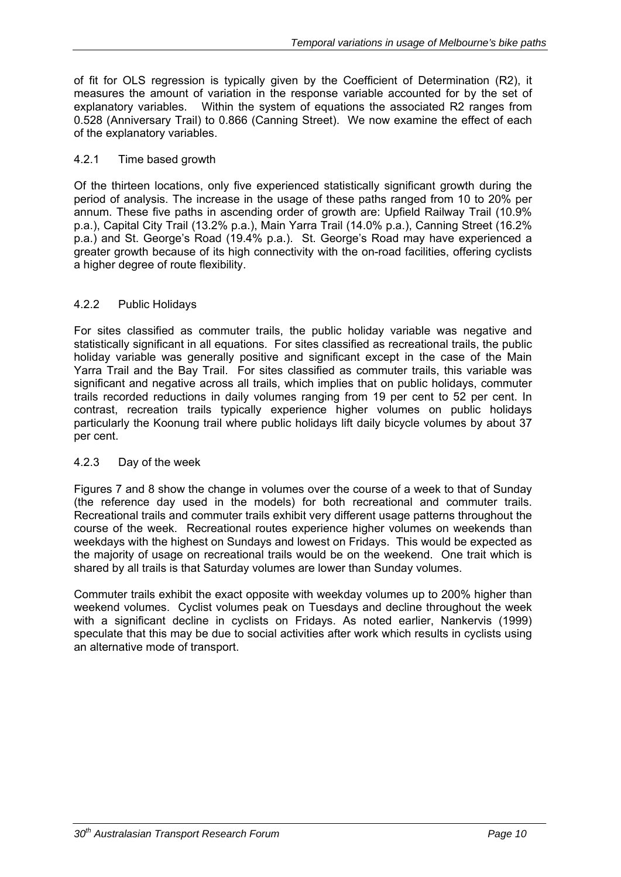of fit for OLS regression is typically given by the Coefficient of Determination (R2), it measures the amount of variation in the response variable accounted for by the set of explanatory variables. Within the system of equations the associated R2 ranges from 0.528 (Anniversary Trail) to 0.866 (Canning Street). We now examine the effect of each of the explanatory variables.

#### 4.2.1 Time based growth

Of the thirteen locations, only five experienced statistically significant growth during the period of analysis. The increase in the usage of these paths ranged from 10 to 20% per annum. These five paths in ascending order of growth are: Upfield Railway Trail (10.9% p.a.), Capital City Trail (13.2% p.a.), Main Yarra Trail (14.0% p.a.), Canning Street (16.2% p.a.) and St. George's Road (19.4% p.a.). St. George's Road may have experienced a greater growth because of its high connectivity with the on-road facilities, offering cyclists a higher degree of route flexibility.

#### 4.2.2 Public Holidays

For sites classified as commuter trails, the public holiday variable was negative and statistically significant in all equations. For sites classified as recreational trails, the public holiday variable was generally positive and significant except in the case of the Main Yarra Trail and the Bay Trail. For sites classified as commuter trails, this variable was significant and negative across all trails, which implies that on public holidays, commuter trails recorded reductions in daily volumes ranging from 19 per cent to 52 per cent. In contrast, recreation trails typically experience higher volumes on public holidays particularly the Koonung trail where public holidays lift daily bicycle volumes by about 37 per cent.

#### 4.2.3 Day of the week

Figures 7 and 8 show the change in volumes over the course of a week to that of Sunday (the reference day used in the models) for both recreational and commuter trails. Recreational trails and commuter trails exhibit very different usage patterns throughout the course of the week. Recreational routes experience higher volumes on weekends than weekdays with the highest on Sundays and lowest on Fridays. This would be expected as the majority of usage on recreational trails would be on the weekend. One trait which is shared by all trails is that Saturday volumes are lower than Sunday volumes.

Commuter trails exhibit the exact opposite with weekday volumes up to 200% higher than weekend volumes. Cyclist volumes peak on Tuesdays and decline throughout the week with a significant decline in cyclists on Fridays. As noted earlier, Nankervis (1999) speculate that this may be due to social activities after work which results in cyclists using an alternative mode of transport.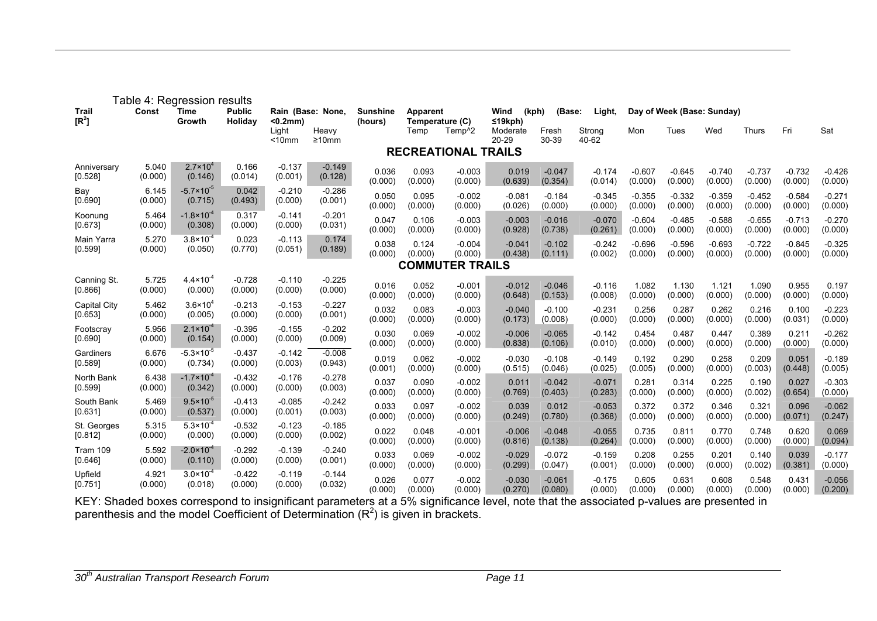| able 4: Regression results |         |                       |               |                                 |                       |                 |                         |                        |                              |                |                 |                            |          |          |          |          |          |
|----------------------------|---------|-----------------------|---------------|---------------------------------|-----------------------|-----------------|-------------------------|------------------------|------------------------------|----------------|-----------------|----------------------------|----------|----------|----------|----------|----------|
| Trail                      | Const   | Time                  | <b>Public</b> | Rain (Base: None,               |                       | <b>Sunshine</b> | Apparent                |                        | Wind<br>(Base:<br>(kph)      |                | Light,          | Day of Week (Base: Sunday) |          |          |          |          |          |
| $[\mathsf{R}^2]$           |         | Growth                | Holiday       | $0.2mm$<br>Light<br>$<$ 10 $mm$ | Heavy<br>$\geq 10$ mm | (hours)         | Temperature (C)<br>Temp | Temp <sup>^2</sup>     | ≤19kph)<br>Moderate<br>20-29 | Fresh<br>30-39 | Strong<br>40-62 | Mon                        | Tues     | Wed      | Thurs    | Fri      | Sat      |
| <b>RECREATIONAL TRAILS</b> |         |                       |               |                                 |                       |                 |                         |                        |                              |                |                 |                            |          |          |          |          |          |
| Anniversary                | 5.040   | $2.7 \times 10^{4}$   | 0.166         | $-0.137$                        | $-0.149$              | 0.036           | 0.093                   | $-0.003$               | 0.019                        | $-0.047$       | $-0.174$        | $-0.607$                   | $-0.645$ | $-0.740$ | $-0.737$ | $-0.732$ | $-0.426$ |
| [0.528]                    | (0.000) | (0.146)               | (0.014)       | (0.001)                         | (0.128)               | (0.000)         | (0.000)                 | (0.000)                | (0.639)                      | (0.354)        | (0.014)         | (0.000)                    | (0.000)  | (0.000)  | (0.000)  | (0.000)  | (0.000)  |
| Bay                        | 6.145   | $-5.7 \times 10^{-5}$ | 0.042         | $-0.210$                        | $-0.286$              | 0.050           | 0.095                   | $-0.002$               | $-0.081$                     | $-0.184$       | $-0.345$        | $-0.355$                   | $-0.332$ | $-0.359$ | $-0.452$ | $-0.584$ | $-0.271$ |
| [0.690]                    | (0.000) | (0.715)               | (0.493)       | (0.000)                         | (0.001)               | (0.000)         | (0.000)                 | (0.000)                | (0.026)                      | (0.000)        | (0.000)         | (0.000)                    | (0.000)  | (0.000)  | (0.000)  | (0.000)  | (0.000)  |
| Koonung                    | 5.464   | $-1.8 \times 10^{-4}$ | 0.317         | $-0.141$                        | $-0.201$              | 0.047           | 0.106                   | $-0.003$               | $-0.003$                     | $-0.016$       | $-0.070$        | $-0.604$                   | $-0.485$ | $-0.588$ | $-0.655$ | $-0.713$ | $-0.270$ |
| [0.673]                    | (0.000) | (0.308)               | (0.000)       | (0.000)                         | (0.031)               | (0.000)         | (0.000)                 | (0.000)                | (0.928)                      | (0.738)        | (0.261)         | (0.000)                    | (0.000)  | (0.000)  | (0.000)  | (0.000)  | (0.000)  |
| Main Yarra                 | 5.270   | $3.8 \times 10^{-4}$  | 0.023         | $-0.113$                        | 0.174                 | 0.038           | 0.124                   | $-0.004$               | $-0.041$                     | $-0.102$       | $-0.242$        | $-0.696$                   | $-0.596$ | $-0.693$ | $-0.722$ | $-0.845$ | $-0.325$ |
| [0.599]                    | (0.000) | (0.050)               | (0.770)       | (0.051)                         | (0.189)               | (0.000)         | (0.000)                 | (0.000)                | (0.438)                      | (0.111)        | (0.002)         | (0.000)                    | (0.000)  | (0.000)  | (0.000)  | (0.000)  | (0.000)  |
|                            |         |                       |               |                                 |                       |                 |                         | <b>COMMUTER TRAILS</b> |                              |                |                 |                            |          |          |          |          |          |
| Canning St.                | 5.725   | $4.4 \times 10^{-4}$  | $-0.728$      | $-0.110$                        | $-0.225$              | 0.016           | 0.052                   | $-0.001$               | $-0.012$                     | $-0.046$       | $-0.116$        | 1.082                      | 1.130    | 1.121    | 1.090    | 0.955    | 0.197    |
| [0.866]                    | (0.000) | (0.000)               | (0.000)       | (0.000)                         | (0.000)               | (0.000)         | (0.000)                 | (0.000)                | (0.648)                      | (0.153)        | (0.008)         | (0.000)                    | (0.000)  | (0.000)  | (0.000)  | (0.000)  | (0.000)  |
| Capital City               | 5.462   | $3.6 \times 10^{4}$   | $-0.213$      | $-0.153$                        | $-0.227$              | 0.032           | 0.083                   | $-0.003$               | $-0.040$                     | $-0.100$       | $-0.231$        | 0.256                      | 0.287    | 0.262    | 0.216    | 0.100    | $-0.223$ |
| [0.653]                    | (0.000) | (0.005)               | (0.000)       | (0.000)                         | (0.001)               | (0.000)         | (0.000)                 | (0.000)                | (0.173)                      | (0.008)        | (0.000)         | (0.000)                    | (0.000)  | (0.000)  | (0.000)  | (0.031)  | (0.000)  |
| Footscray                  | 5.956   | $2.1 \times 10^{-4}$  | $-0.395$      | $-0.155$                        | $-0.202$              | 0.030           | 0.069                   | $-0.002$               | $-0.006$                     | $-0.065$       | $-0.142$        | 0.454                      | 0.487    | 0.447    | 0.389    | 0.211    | $-0.262$ |
| [0.690]                    | (0.000) | (0.154)               | (0.000)       | (0.000)                         | (0.009)               | (0.000)         | (0.000)                 | (0.000)                | (0.838)                      | (0.106)        | (0.010)         | (0.000)                    | (0.000)  | (0.000)  | (0.000)  | (0.000)  | (0.000)  |
| Gardiners                  | 6.676   | $-5.3 \times 10^{-5}$ | $-0.437$      | $-0.142$                        | $-0.008$              | 0.019           | 0.062                   | $-0.002$               | $-0.030$                     | $-0.108$       | $-0.149$        | 0.192                      | 0.290    | 0.258    | 0.209    | 0.051    | $-0.189$ |
| [0.589]                    | (0.000) | (0.734)               | (0.000)       | (0.003)                         | (0.943)               | (0.001)         | (0.000)                 | (0.000)                | (0.515)                      | (0.046)        | (0.025)         | (0.005)                    | (0.000)  | (0.000)  | (0.003)  | (0.448)  | (0.005)  |
| North Bank                 | 6.438   | $-1.7 \times 10^{-4}$ | $-0.432$      | $-0.176$                        | $-0.278$              | 0.037           | 0.090                   | $-0.002$               | 0.011                        | $-0.042$       | $-0.071$        | 0.281                      | 0.314    | 0.225    | 0.190    | 0.027    | $-0.303$ |
| [0.599]                    | (0.000) | (0.342)               | (0.000)       | (0.000)                         | (0.003)               | (0.000)         | (0.000)                 | (0.000)                | (0.769)                      | (0.403)        | (0.283)         | (0.000)                    | (0.000)  | (0.000)  | (0.002)  | (0.654)  | (0.000)  |
| South Bank                 | 5.469   | $9.5 \times 10^{-5}$  | $-0.413$      | $-0.085$                        | $-0.242$              | 0.033           | 0.097                   | $-0.002$               | 0.039                        | 0.012          | $-0.053$        | 0.372                      | 0.372    | 0.346    | 0.321    | 0.096    | $-0.062$ |
| [0.631]                    | (0.000) | (0.537)               | (0.000)       | (0.001)                         | (0.003)               | (0.000)         | (0.000)                 | (0.000)                | (0.249)                      | (0.780)        | (0.368)         | (0.000)                    | (0.000)  | (0.000)  | (0.000)  | (0.071)  | (0.247)  |
| St. Georges                | 5.315   | $5.3 \times 10^{-4}$  | $-0.532$      | $-0.123$                        | $-0.185$              | 0.022           | 0.048                   | $-0.001$               | $-0.006$                     | $-0.048$       | $-0.055$        | 0.735                      | 0.811    | 0.770    | 0.748    | 0.620    | 0.069    |
| [0.812]                    | (0.000) | (0.000)               | (0.000)       | (0.000)                         | (0.002)               | (0.000)         | (0.000)                 | (0.000)                | (0.816)                      | (0.138)        | (0.264)         | (0.000)                    | (0.000)  | (0.000)  | (0.000)  | (0.000)  | (0.094)  |
| <b>Tram 109</b>            | 5.592   | $-2.0 \times 10^{-4}$ | $-0.292$      | $-0.139$                        | $-0.240$              | 0.033           | 0.069                   | $-0.002$               | $-0.029$                     | $-0.072$       | $-0.159$        | 0.208                      | 0.255    | 0.201    | 0.140    | 0.039    | $-0.177$ |
| [0.646]                    | (0.000) | (0.110)               | (0.000)       | (0.000)                         | (0.001)               | (0.000)         | (0.000)                 | (0.000)                | (0.299)                      | (0.047)        | (0.001)         | (0.000)                    | (0.000)  | (0.000)  | (0.002)  | (0.381)  | (0.000)  |
| Upfield                    | 4.921   | $3.0 \times 10^{-4}$  | $-0.422$      | $-0.119$                        | $-0.144$              | 0.026           | 0.077                   | $-0.002$               | $-0.030$                     | $-0.061$       | $-0.175$        | 0.605                      | 0.631    | 0.608    | 0.548    | 0.431    | $-0.056$ |
| [0.751]                    | (0.000) | (0.018)               | (0.000)       | (0.000)                         | (0.032)               | (0.000)         | (0.000)                 | (0.000)                | (0.270)                      | (0.080)        | (0.000)         | (0.000)                    | (0.000)  | (0.000)  | (0.000)  | (0.000)  | (0.200)  |

KEY: Shaded boxes correspond to insignificant parameters at a 5% significance level, note that the associated p-values are presented in parenthesis and the model Coefficient of Determination ( $R^2$ ) is given in brackets.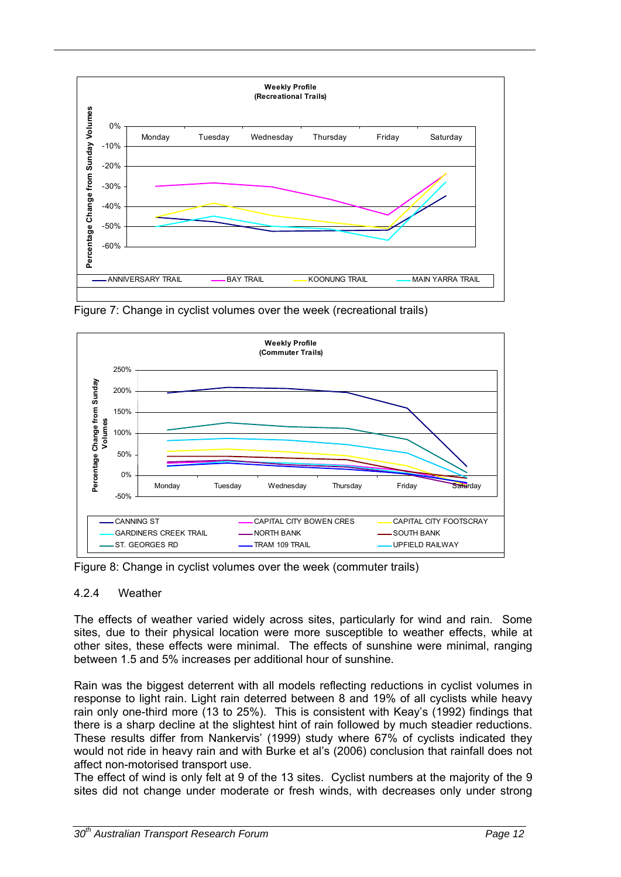

Figure 7: Change in cyclist volumes over the week (recreational trails)



Figure 8: Change in cyclist volumes over the week (commuter trails)

### 4.2.4 Weather

The effects of weather varied widely across sites, particularly for wind and rain. Some sites, due to their physical location were more susceptible to weather effects, while at other sites, these effects were minimal. The effects of sunshine were minimal, ranging between 1.5 and 5% increases per additional hour of sunshine.

Rain was the biggest deterrent with all models reflecting reductions in cyclist volumes in response to light rain. Light rain deterred between 8 and 19% of all cyclists while heavy rain only one-third more (13 to 25%). This is consistent with Keay's (1992) findings that there is a sharp decline at the slightest hint of rain followed by much steadier reductions. These results differ from Nankervis' (1999) study where 67% of cyclists indicated they would not ride in heavy rain and with Burke et al's (2006) conclusion that rainfall does not affect non-motorised transport use.

The effect of wind is only felt at 9 of the 13 sites. Cyclist numbers at the majority of the 9 sites did not change under moderate or fresh winds, with decreases only under strong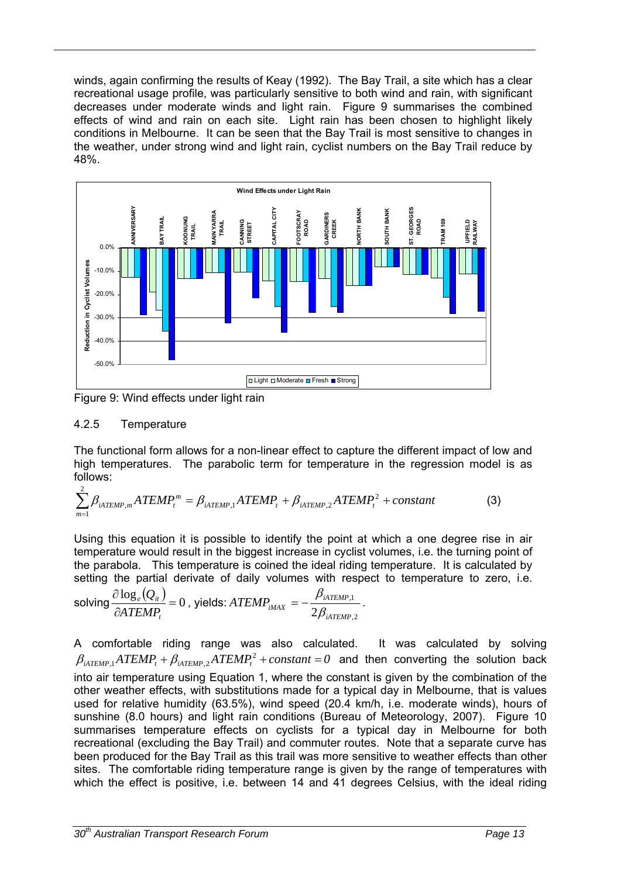winds, again confirming the results of Keay (1992). The Bay Trail, a site which has a clear recreational usage profile, was particularly sensitive to both wind and rain, with significant decreases under moderate winds and light rain. Figure 9 summarises the combined effects of wind and rain on each site. Light rain has been chosen to highlight likely conditions in Melbourne. It can be seen that the Bay Trail is most sensitive to changes in the weather, under strong wind and light rain, cyclist numbers on the Bay Trail reduce by 48%.



Figure 9: Wind effects under light rain

### 4.2.5 Temperature

The functional form allows for a non-linear effect to capture the different impact of low and high temperatures. The parabolic term for temperature in the regression model is as follows:

$$
\sum_{m=1}^{2} \beta_{iATEMP,m} ATEMP_t^m = \beta_{iATEMP,1} ATEMP_t + \beta_{iATEMP,2} ATEMP_t^2 + constant \tag{3}
$$

Using this equation it is possible to identify the point at which a one degree rise in air temperature would result in the biggest increase in cyclist volumes, i.e. the turning point of the parabola. This temperature is coined the ideal riding temperature. It is calculated by setting the partial derivate of daily volumes with respect to temperature to zero, i.e.

solving 
$$
\frac{\partial \log_e(Q_{it})}{\partial ATEMP_t} = 0
$$
, yields:  $ATEMP_{iMAX} = -\frac{\beta_{iATEMP,1}}{2\beta_{iATEMP,2}}$ .

A comfortable riding range was also calculated. It was calculated by solving  $\beta_{\text{IATEMP},1}$  *ATEMP*<sub>t</sub> +  $\beta_{\text{IATEMP},2}$  *ATEMP*<sub>t</sub><sup>2</sup> + *constant* = 0 and then converting the solution back into air temperature using Equation 1, where the constant is given by the combination of the other weather effects, with substitutions made for a typical day in Melbourne, that is values used for relative humidity (63.5%), wind speed (20.4 km/h, i.e. moderate winds), hours of sunshine (8.0 hours) and light rain conditions (Bureau of Meteorology, 2007). Figure 10 summarises temperature effects on cyclists for a typical day in Melbourne for both recreational (excluding the Bay Trail) and commuter routes. Note that a separate curve has been produced for the Bay Trail as this trail was more sensitive to weather effects than other sites. The comfortable riding temperature range is given by the range of temperatures with which the effect is positive, i.e. between 14 and 41 degrees Celsius, with the ideal riding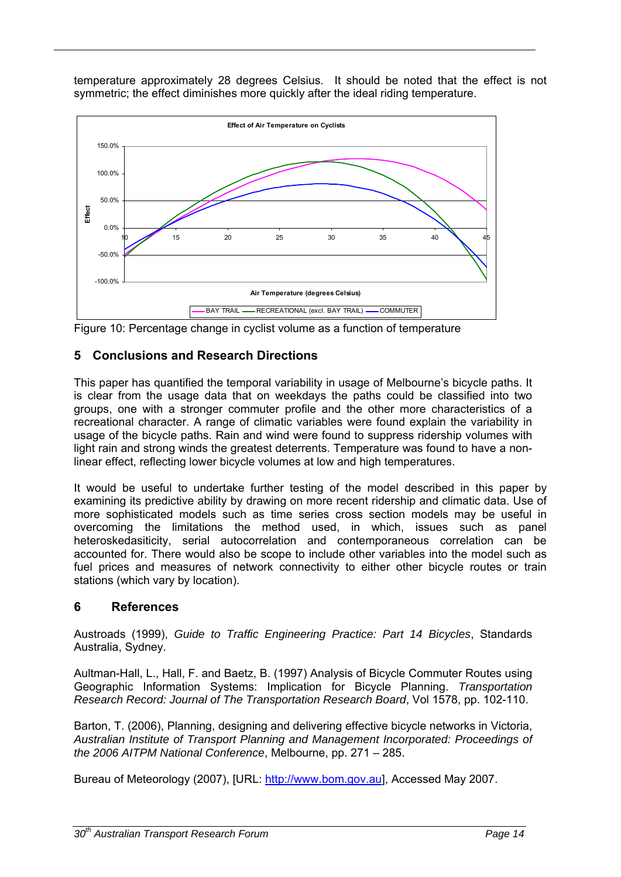temperature approximately 28 degrees Celsius. It should be noted that the effect is not symmetric; the effect diminishes more quickly after the ideal riding temperature.



Figure 10: Percentage change in cyclist volume as a function of temperature

# **5 Conclusions and Research Directions**

This paper has quantified the temporal variability in usage of Melbourne's bicycle paths. It is clear from the usage data that on weekdays the paths could be classified into two groups, one with a stronger commuter profile and the other more characteristics of a recreational character. A range of climatic variables were found explain the variability in usage of the bicycle paths. Rain and wind were found to suppress ridership volumes with light rain and strong winds the greatest deterrents. Temperature was found to have a nonlinear effect, reflecting lower bicycle volumes at low and high temperatures.

It would be useful to undertake further testing of the model described in this paper by examining its predictive ability by drawing on more recent ridership and climatic data. Use of more sophisticated models such as time series cross section models may be useful in overcoming the limitations the method used, in which, issues such as panel heteroskedasiticity, serial autocorrelation and contemporaneous correlation can be accounted for. There would also be scope to include other variables into the model such as fuel prices and measures of network connectivity to either other bicycle routes or train stations (which vary by location).

# **6 References**

Austroads (1999), *Guide to Traffic Engineering Practice: Part 14 Bicycles*, Standards Australia, Sydney.

Aultman-Hall, L., Hall, F. and Baetz, B. (1997) Analysis of Bicycle Commuter Routes using Geographic Information Systems: Implication for Bicycle Planning. *Transportation Research Record: Journal of The Transportation Research Board*, Vol 1578, pp. 102-110.

Barton, T. (2006), Planning, designing and delivering effective bicycle networks in Victoria, *Australian Institute of Transport Planning and Management Incorporated: Proceedings of the 2006 AITPM National Conference*, Melbourne, pp. 271 – 285.

Bureau of Meteorology (2007), [URL: http://www.bom.gov.au], Accessed May 2007.